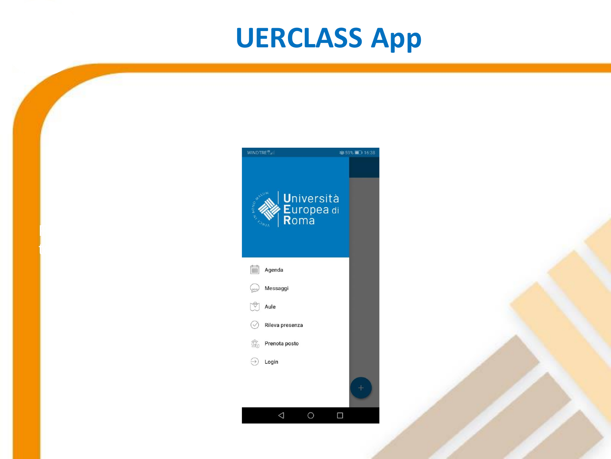#### **UERCLASS App**



Fare clic per inserire

testo

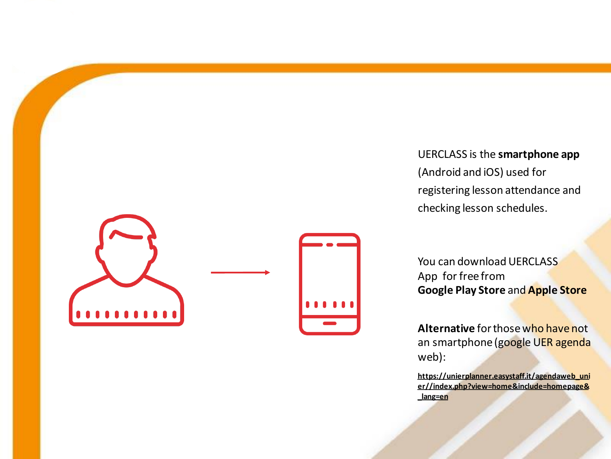

UERCLASS is the **smartphone app** (Android and iOS) used for registering lesson attendance and checking lesson schedules.

You can download UERCLASS App for free from **Google Play Store** and **Apple Store**

**Alternative** forthosewho have not an smartphone (google UER agenda web):

**https://unierplanner.easystaff.it/agendaweb\_uni [er//index.php?view=home&include=homepage&](https://unierplanner.easystaff.it/agendaweb_unier/index.php?view=home&include=homepage&_lang=en) \_lang=en**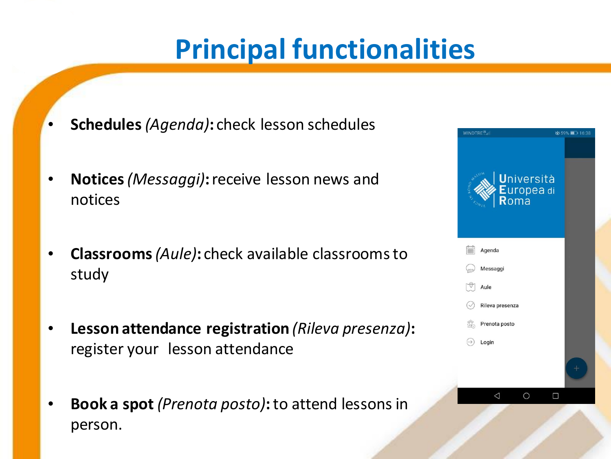#### **Principal functionalities**

- **Schedules** *(Agenda)***:** check lesson schedules
- **Notices***(Messaggi)***:** receive lesson news and notices
- **Classrooms***(Aule)***:** check available classroomsto study
- **Lesson attendance registration** *(Rileva presenza)***:**  register your lesson attendance
- **Book a spot** *(Prenota posto)***:** to attend lessons in person.

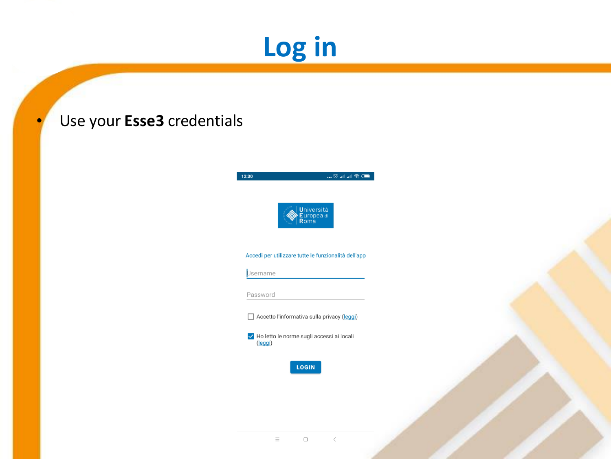# **Log in**

#### • Use your **Esse3** credentials





#### Accedi per utilizzare tutte le funzionalità dell'app

Username

Password

Accetto l'informativa sulla privacy (leggi)

I Ho letto le norme sugli accessi ai locali (leggi)

**LOGIN**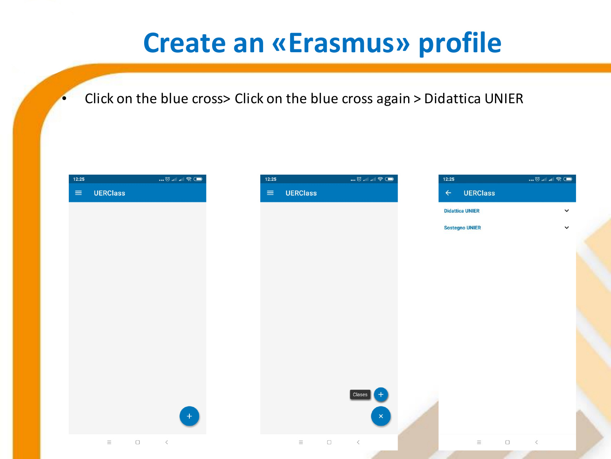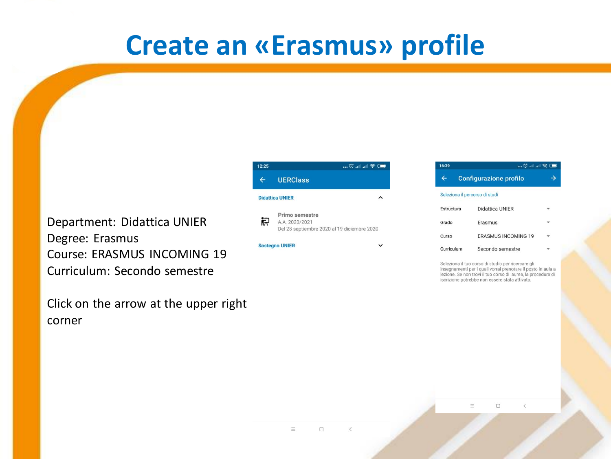#### **Create an «Erasmus» profile**

Department: Didattica UNIER Degree: Erasmus Course: ERASMUS INCOMING 19 Curriculum: Secondo semestre

Click on the arrow at the upper right corner

| 12:25 |                                                                                 | $\blacksquare$ $\heartsuit$ $\blacksquare$ |
|-------|---------------------------------------------------------------------------------|--------------------------------------------|
|       | <b>UERClass</b>                                                                 |                                            |
|       | <b>Didattica UNIER</b>                                                          |                                            |
| 识     | Primo semestre<br>A.A. 2020/2021<br>Del 28 septiembre 2020 al 19 diciembre 2020 |                                            |
|       | <b>Sostegno UNIER</b>                                                           |                                            |

| 16:39                          | … 0 … … … s. ( <b>…</b>       |  |
|--------------------------------|-------------------------------|--|
|                                | <b>Configurazione profilo</b> |  |
| Seleziona il percorso di studi |                               |  |
| Estructura                     | Didattica UNIER               |  |
| Grado                          | Erasmus                       |  |
| Curso                          | <b>FRASMUS INCOMING 19</b>    |  |
| Curriculum                     | Secondo semestre              |  |

Seleziona il tuo corso di studio per ricercare gli insegnamenti per i quali vorrai prenotare il posto in aula a lezione. Se non trovi il tuo corso di laurea, la procedura di iscrizione potrebbe non essere stata attivata.

> $\Box$  $\equiv$  $\,<\,$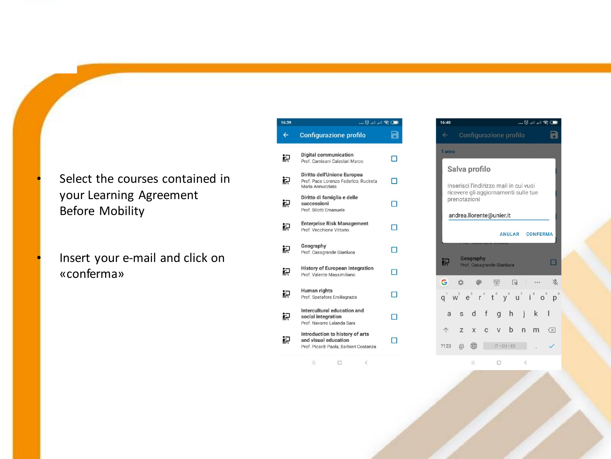- Select the courses contained in your Learning Agreement Before Mobility
	- Insert your e-mail and click on «conferma»

| 16:39 | $\blacksquare$ $\blacksquare$ $\blacksquare$ $\blacksquare$ $\blacksquare$                        |   |  |
|-------|---------------------------------------------------------------------------------------------------|---|--|
| ←     | <b>Configurazione profilo</b>                                                                     |   |  |
| 识     | <b>Digital communication</b><br>Prof. Camisani Calzolari Marco                                    |   |  |
| 识     | Diritto dell'Unione Europea<br>Prof. Pace Lorenzo Federico, Rucireta<br>Maria Annunziata          |   |  |
| 识     | Diritto di famiglia e delle<br>successioni<br>Prof. Bilotti Emanuele                              | п |  |
| 识     | <b>Enterprise Risk Management</b><br>Prof. Vecchione Vittorio                                     | ┓ |  |
| 识     | Geography<br>Prof. Casagrande Gianluca                                                            |   |  |
| 识     | <b>History of European integration</b><br>Prof. Valente Massimiliano                              |   |  |
| 识     | <b>Human rights</b><br>Prof. Spatafora Ersiliagrazia                                              |   |  |
| 识     | Intercultural education and<br>social integration<br>Prof. Navarro Lalanda Sara                   |   |  |
|       | Introduction to history of arts<br>and visual education<br>Prof. Picardi Paola, Barbieri Costanza |   |  |

 $\equiv$   $\qquad \qquad \Box$ 

 $16:40$ … © … … ⊜ …  $\blacksquare$ Configurazione profilo anno Salva profilo Inserisci l'indirizzo mail in cui vuoi ricevere gli aggiornamenti sulle tue prenotazioni andrea.llorente@unier.it ANULAR CONFERMA Geography  $\Box$ Prof. Casagrande Gianluca  $\begin{tabular}{|c|c|} \hline \hline \hline \hline \hline \end{tabular}$ G  $\circledR$  $\qquad \qquad \Box$  $\frac{\partial f}{\partial x}$  $\mathcal{L}^{\ast}_{\mu}$  $\cdots$  $q'$  w<sup>2</sup>  $e^{3}$  r<sup>4</sup> t<sup>5</sup> y<sup>6</sup> u<sup>7</sup> i<sup>8</sup> o<sup>9</sup> p<sup>0</sup> as d f g h j k l ↑ z x c v b n m 区 

 $\equiv$  $\Box$  $\,$   $\,$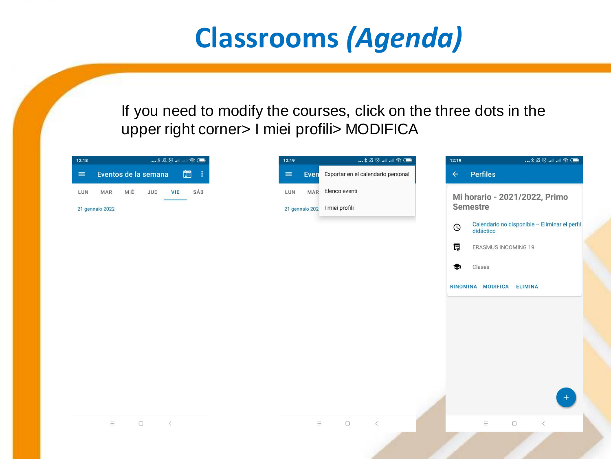### **Classrooms** *(Agenda)*

If you need to modify the courses, click on the three dots in the upper right corner> I miei profili> MODIFICA

| 12:18    |                 |     |                      |            | <b>0 &amp; 1 1 1 3 4 3 4 </b> |
|----------|-----------------|-----|----------------------|------------|-------------------------------|
| $\equiv$ |                 |     | Eventos de la semana |            | 圖<br>- 1                      |
| LUN      | MAR             | MIÉ | JUE                  | <b>VIE</b> | SÁB                           |
|          | 21 gennaio 2022 |     |                      |            |                               |
|          |                 |     |                      |            |                               |
|          |                 |     |                      |            |                               |
|          |                 |     |                      |            |                               |
|          |                 |     |                      |            |                               |
|          |                 |     |                      |            |                               |
|          |                 |     |                      |            |                               |
|          |                 |     |                      |            |                               |
|          |                 |     |                      |            |                               |
|          |                 |     |                      |            |                               |
|          |                 |     |                      |            |                               |
|          |                 |     |                      |            |                               |
|          | $\equiv$        |     | $\Box$<br>$\prec$    |            |                               |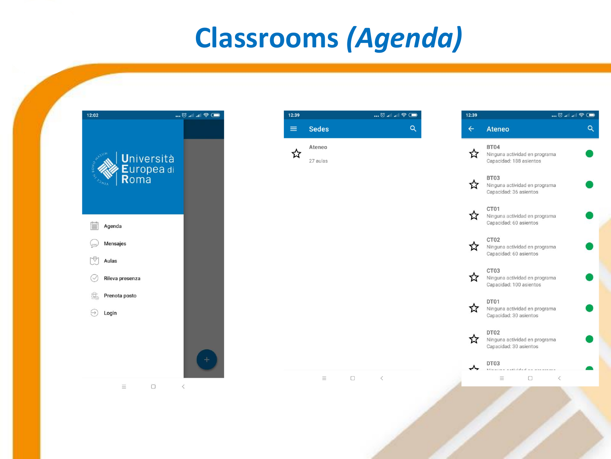### **Classrooms** *(Agenda)*



| 12:39    |                    | … © … … ⊜ …     | 12:39        | U & 111. 111. 0                                                  |   |
|----------|--------------------|-----------------|--------------|------------------------------------------------------------------|---|
| $\equiv$ | <b>Sedes</b>       | $\alpha$        | $\leftarrow$ | <b>Ateneo</b>                                                    | Q |
|          | Ateneo<br>27 aulas |                 | ☆            | BT04<br>Ninguna actividad en programa<br>Capacidad: 188 asientos |   |
|          |                    |                 | ☆            | BT03<br>Ninguna actividad en programa<br>Capacidad: 36 asientos  |   |
|          |                    |                 | ☆            | CT01<br>Ninguna actividad en programa<br>Capacidad: 60 asientos  |   |
|          |                    |                 | ☆            | CT02<br>Ninguna actividad en programa<br>Capacidad: 60 asientos  |   |
|          |                    |                 | ☆            | CT03<br>Ninguna actividad en programa<br>Capacidad: 100 asientos |   |
|          |                    |                 | ☆            | DT01<br>Ninguna actividad en programa<br>Capacidad: 30 asientos  |   |
|          |                    |                 | ☆            | DT02<br>Ninguna actividad en programa<br>Capacidad: 30 asientos  |   |
|          |                    |                 |              | DT03<br>anticipation of the con-                                 |   |
|          | $\equiv$           | $\Box$<br>$\,<$ |              | $\Box$<br>$\langle$<br>Ξ                                         |   |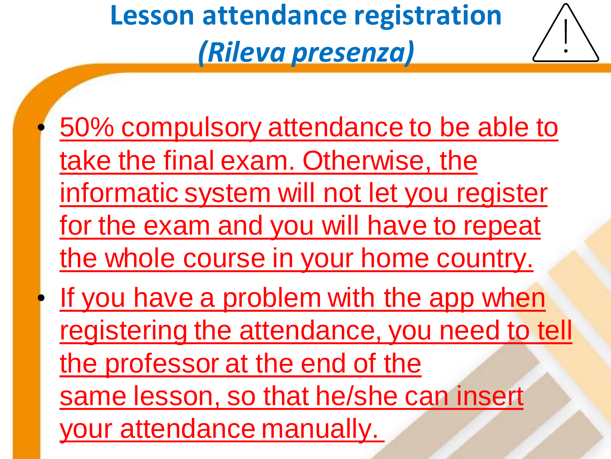# **Lesson attendance registration**  *(Rileva presenza)*



• 50% compulsory attendance to be able to take the final exam. Otherwise, the informatic system will not let you register for the exam and you will have to repeat the whole course in your home country. If you have a problem with the app when registering the attendance, you need to tell the professor at the end of the

same lesson, so that he/she can insert

your attendance manually.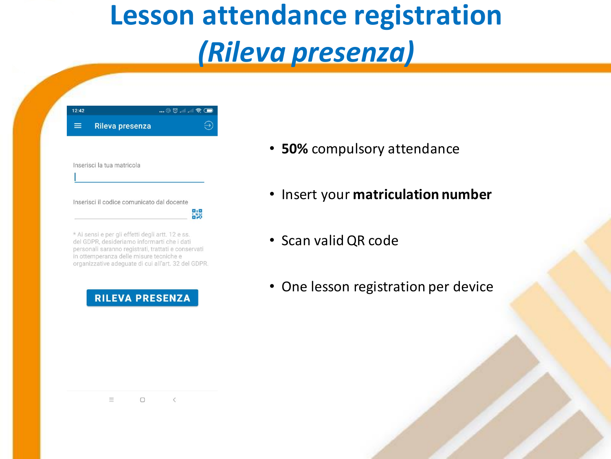#### **Lesson attendance registration**  *(Rileva presenza)*

| 12:42 |                                                                                                                                                                                                    | $\blacksquare$ . $\textcircled{1}$ . $\blacksquare$ . $\blacksquare$ |
|-------|----------------------------------------------------------------------------------------------------------------------------------------------------------------------------------------------------|----------------------------------------------------------------------|
|       | <b>Rileva presenza</b>                                                                                                                                                                             |                                                                      |
|       |                                                                                                                                                                                                    |                                                                      |
|       | Inserisci la tua matricola                                                                                                                                                                         |                                                                      |
|       |                                                                                                                                                                                                    |                                                                      |
|       |                                                                                                                                                                                                    |                                                                      |
|       |                                                                                                                                                                                                    |                                                                      |
|       | Inserisci il codice comunicato dal docente                                                                                                                                                         |                                                                      |
|       | * Ai sensi e per gli effetti degli artt. 12 e ss.<br>del GDPR, desideriamo informarti che i dati<br>personali saranno registrati, trattati e conservati<br>in ottemperanza delle misure tecniche e |                                                                      |

#### **RILEVA PRESENZA**

- **50%** compulsory attendance
- Insert your **matriculation number**
- Scan validQR code
- One lesson registration per device

 $\equiv$  $\Box$  $\langle$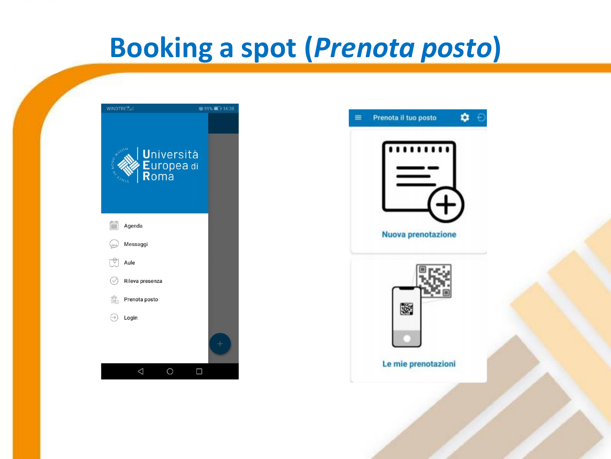#### **Booking a spot (***Prenota posto***)**

| WINDTRE <sup>TT</sup> .ill                                  | 359%■ 16:38 |
|-------------------------------------------------------------|-------------|
| LUM<br><b>Università</b><br>OPONIA AS<br>Europea di<br>Roma |             |
| Ë<br>Agenda                                                 |             |
| Messaggi<br>000                                             |             |
| Aule                                                        |             |
| $(\checkmark$<br>Rileva presenza                            |             |
| Î,<br>Prenota posto                                         |             |
| $\leftrightarrow$<br>Login                                  |             |
|                                                             |             |
|                                                             | □           |

| <b>Nuova prenotazione</b> |  |
|---------------------------|--|
|                           |  |
| 縣                         |  |
|                           |  |
| Le mie prenotazioni       |  |
|                           |  |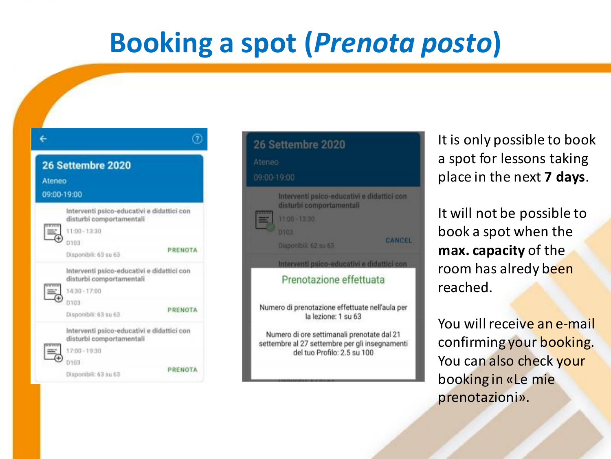#### **Booking a spot (***Prenota posto***)**

| Ateneo | 26 Settembre 2020<br>09:00-19:00                                                        |         |
|--------|-----------------------------------------------------------------------------------------|---------|
|        | Interventi psico-educativi e didattici con<br>disturbi comportamentali<br>11:00 - 13:30 |         |
|        | D103<br>Disponibili: 63 su 63                                                           | PRENOTA |
|        | Interventi psico-educativi e didattici con<br>disturbi comportamentali<br>14:30 - 17:00 |         |
|        | 0103<br>Disponibili: 63 su 63                                                           | PRENOTA |
|        | Interventi psico-educativi e didattici con<br>disturbi comportamentali<br>17:00 - 19:30 |         |
|        | <b>D103</b><br>Disponibili: 63 su 63                                                    | PRENOTA |



It is only possible to book a spot for lessons taking place in the next **7 days**.

It will not be possible to book a spot when the **max. capacity** of the room has alredy been reached.

You will receive an e-mail confirming your booking. You can also check your booking in «Le mie prenotazioni».